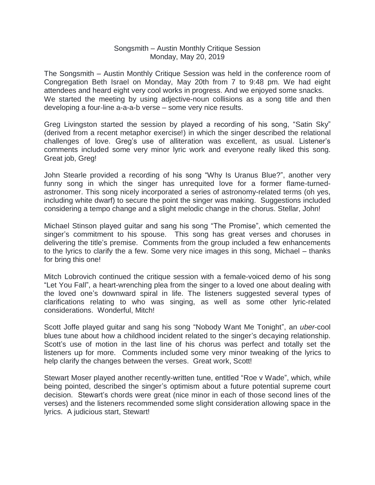## Songsmith – Austin Monthly Critique Session Monday, May 20, 2019

The Songsmith – Austin Monthly Critique Session was held in the conference room of Congregation Beth Israel on Monday, May 20th from 7 to 9:48 pm. We had eight attendees and heard eight very cool works in progress. And we enjoyed some snacks. We started the meeting by using adjective-noun collisions as a song title and then developing a four-line a-a-a-b verse – some very nice results.

Greg Livingston started the session by played a recording of his song, "Satin Sky" (derived from a recent metaphor exercise!) in which the singer described the relational challenges of love. Greg's use of alliteration was excellent, as usual. Listener's comments included some very minor lyric work and everyone really liked this song. Great job, Greg!

John Stearle provided a recording of his song "Why Is Uranus Blue?", another very funny song in which the singer has unrequited love for a former flame-turnedastronomer. This song nicely incorporated a series of astronomy-related terms (oh yes, including white dwarf) to secure the point the singer was making. Suggestions included considering a tempo change and a slight melodic change in the chorus. Stellar, John!

Michael Stinson played guitar and sang his song "The Promise", which cemented the singer's commitment to his spouse. This song has great verses and choruses in delivering the title's premise. Comments from the group included a few enhancements to the lyrics to clarify the a few. Some very nice images in this song, Michael – thanks for bring this one!

Mitch Lobrovich continued the critique session with a female-voiced demo of his song "Let You Fall", a heart-wrenching plea from the singer to a loved one about dealing with the loved one's downward spiral in life. The listeners suggested several types of clarifications relating to who was singing, as well as some other lyric-related considerations. Wonderful, Mitch!

Scott Joffe played guitar and sang his song "Nobody Want Me Tonight", an *uber*-cool blues tune about how a childhood incident related to the singer's decaying relationship. Scott's use of motion in the last line of his chorus was perfect and totally set the listeners up for more. Comments included some very minor tweaking of the lyrics to help clarify the changes between the verses. Great work, Scott!

Stewart Moser played another recently-written tune, entitled "Roe v Wade", which, while being pointed, described the singer's optimism about a future potential supreme court decision. Stewart's chords were great (nice minor in each of those second lines of the verses) and the listeners recommended some slight consideration allowing space in the lyrics. A judicious start, Stewart!